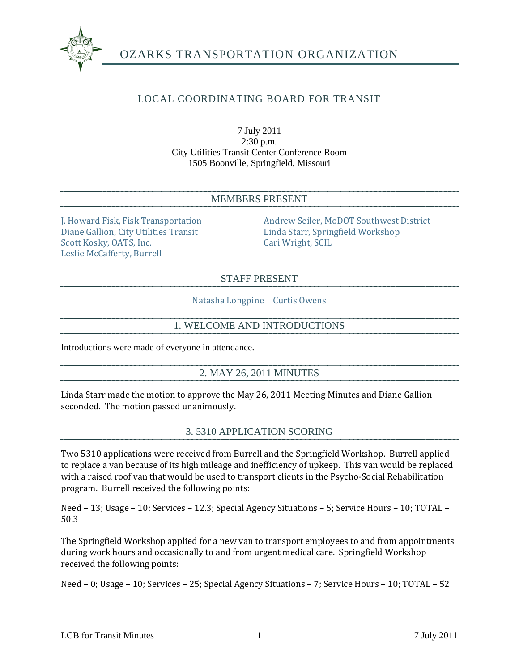

# LOCAL COORDINATING BOARD FOR TRANSIT

7 July 2011 2:30 p.m. City Utilities Transit Center Conference Room 1505 Boonville, Springfield, Missouri

#### MEMBERS PRESENT

Diane Gallion, City Utilities Transit Linda Starr, Springfield Workshop Scott Kosky, OATS, Inc. Cari Wright, SCIL Leslie McCafferty, Burrell

J. Howard Fisk, Fisk Transportation Andrew Seiler, MoDOT Southwest District

#### STAFF PRESENT

Natasha Longpine Curtis Owens

#### 1. WELCOME AND INTRODUCTIONS

Introductions were made of everyone in attendance.

#### 2. MAY 26, 2011 MINUTES

Linda Starr made the motion to approve the May 26, 2011 Meeting Minutes and Diane Gallion seconded. The motion passed unanimously.

#### 3. 5310 APPLICATION SCORING

Two 5310 applications were received from Burrell and the Springfield Workshop. Burrell applied to replace a van because of its high mileage and inefficiency of upkeep. This van would be replaced with a raised roof van that would be used to transport clients in the Psycho-Social Rehabilitation program. Burrell received the following points:

Need – 13; Usage – 10; Services – 12.3; Special Agency Situations – 5; Service Hours – 10; TOTAL – 50.3

The Springfield Workshop applied for a new van to transport employees to and from appointments during work hours and occasionally to and from urgent medical care. Springfield Workshop received the following points:

Need – 0; Usage – 10; Services – 25; Special Agency Situations – 7; Service Hours – 10; TOTAL – 52